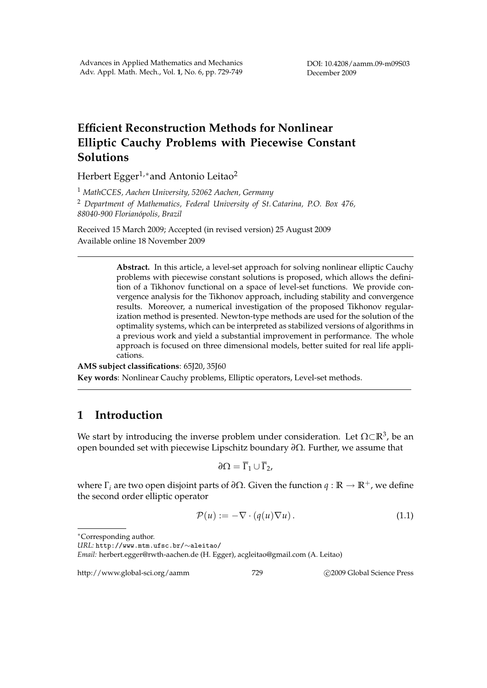# **Efficient Reconstruction Methods for Nonlinear Elliptic Cauchy Problems with Piecewise Constant Solutions**

Herbert Egger<sup>1,∗</sup>and Antonio Leitao<sup>2</sup>

<sup>1</sup> *MathCCES, Aachen University, 52062 Aachen, Germany*

<sup>2</sup> *Department of Mathematics, Federal University of St. Catarina, P.O. Box 476, 88040-900 Florian´opolis, Brazil*

Received 15 March 2009; Accepted (in revised version) 25 August 2009 Available online 18 November 2009

> **Abstract.** In this article, a level-set approach for solving nonlinear elliptic Cauchy problems with piecewise constant solutions is proposed, which allows the definition of a Tikhonov functional on a space of level-set functions. We provide convergence analysis for the Tikhonov approach, including stability and convergence results. Moreover, a numerical investigation of the proposed Tikhonov regularization method is presented. Newton-type methods are used for the solution of the optimality systems, which can be interpreted as stabilized versions of algorithms in a previous work and yield a substantial improvement in performance. The whole approach is focused on three dimensional models, better suited for real life applications.

**AMS subject classifications**: 65J20, 35J60 **Key words**: Nonlinear Cauchy problems, Elliptic operators, Level-set methods.

# **1 Introduction**

We start by introducing the inverse problem under consideration. Let Ω⊂R<sup>3</sup>, be an open bounded set with piecewise Lipschitz boundary *∂*Ω. Further, we assume that

$$
\partial\Omega=\overline{\Gamma}_1\cup\overline{\Gamma}_2,
$$

where  $\Gamma$ <sub>*i*</sub> are two open disjoint parts of  $\partial \Omega$ . Given the function *q* :  $\mathbb{R} \to \mathbb{R}^+$ , we define the second order elliptic operator

$$
\mathcal{P}(u) := -\nabla \cdot (q(u)\nabla u). \tag{1.1}
$$

```
∗Corresponding author.
```

```
URL: http://www.mtm.ufsc.br/∼aleitao/
```
http://www.global-sci.org/aamm 729 °c 2009 Global Science Press

*Email:* herbert.egger@rwth-aachen.de (H. Egger), acgleitao@gmail.com (A. Leitao)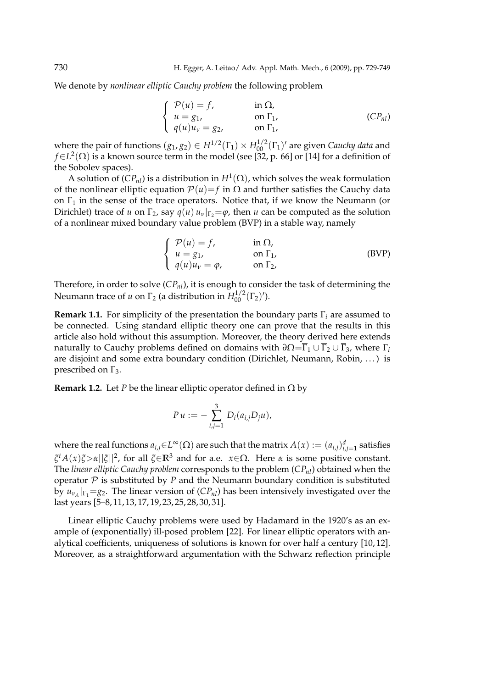We denote by *nonlinear elliptic Cauchy problem* the following problem

$$
\begin{cases}\n\mathcal{P}(u) = f, & \text{in } \Omega, \\
u = g_1, & \text{on } \Gamma_1, \\
q(u)u_v = g_2, & \text{on } \Gamma_1,\n\end{cases}
$$
\n(CP<sub>nl</sub>)

where the pair of functions  $(g_1, g_2) \in H^{1/2}(\Gamma_1) \times H_{00}^{1/2}(\Gamma_1)$ ' are given *Cauchy data* and  $f\in L^2(\Omega)$  is a known source term in the model (see [32, p. 66] or [14] for a definition of the Sobolev spaces).

A solution of  $(CP_{nl})$  is a distribution in  $H^1(\Omega)$ , which solves the weak formulation of the nonlinear elliptic equation  $\mathcal{P}(u) = f$  in  $\Omega$  and further satisfies the Cauchy data on  $\Gamma_1$  in the sense of the trace operators. Notice that, if we know the Neumann (or Dirichlet) trace of *u* on  $\Gamma_2$ , say  $q(u)$   $u_v|_{\Gamma_2} = \varphi$ , then *u* can be computed as the solution of a nonlinear mixed boundary value problem (BVP) in a stable way, namely

$$
\begin{cases}\n\mathcal{P}(u) = f, & \text{in } \Omega, \\
u = g_1, & \text{on } \Gamma_1, \\
q(u)u_v = \varphi, & \text{on } \Gamma_2,\n\end{cases}
$$
\n(BVP)

Therefore, in order to solve (*CPnl*), it is enough to consider the task of determining the Neumann trace of *u* on  $\Gamma_2$  (a distribution in  $H_{00}^{1/2}(\Gamma_2)$ ').

**Remark 1.1.** For simplicity of the presentation the boundary parts Γ*<sup>i</sup>* are assumed to be connected. Using standard elliptic theory one can prove that the results in this article also hold without this assumption. Moreover, the theory derived here extends naturally to Cauchy problems defined on domains with  $\partial\Omega = \overline{\Gamma}_1 \cup \overline{\Gamma}_2 \cup \overline{\Gamma}_3$ , where  $\Gamma_i$ are disjoint and some extra boundary condition (Dirichlet, Neumann, Robin, . . . ) is prescribed on  $\Gamma_3$ .

**Remark 1.2.** Let *P* be the linear elliptic operator defined in  $\Omega$  by

$$
P u := - \sum_{i,j=1}^{3} D_i(a_{i,j}D_j u),
$$

where the real functions  $a_{i,j}$ ∈*L*<sup>∞</sup>( $\Omega$ ) are such that the matrix  $A(x) := (a_{i,j})_{i,j=1}^d$  satisfies *ξ <sup>t</sup>A*(*x*)*ξ*>*α*||*ξ*||<sup>2</sup> , for all *ξ*∈**R**<sup>3</sup> and for a.e. *x*∈Ω. Here *α* is some positive constant. The *linear elliptic Cauchy problem* corresponds to the problem (*CPnl*) obtained when the operator  $\mathcal P$  is substituted by  $P$  and the Neumann boundary condition is substituted by  $u_{\nu_A}|_{\Gamma_1} = g_2$ . The linear version of  $(CP_{nl})$  has been intensively investigated over the last years [5–8, 11, 13, 17, 19, 23, 25, 28, 30, 31].

Linear elliptic Cauchy problems were used by Hadamard in the 1920's as an example of (exponentially) ill-posed problem [22]. For linear elliptic operators with analytical coefficients, uniqueness of solutions is known for over half a century [10, 12]. Moreover, as a straightforward argumentation with the Schwarz reflection principle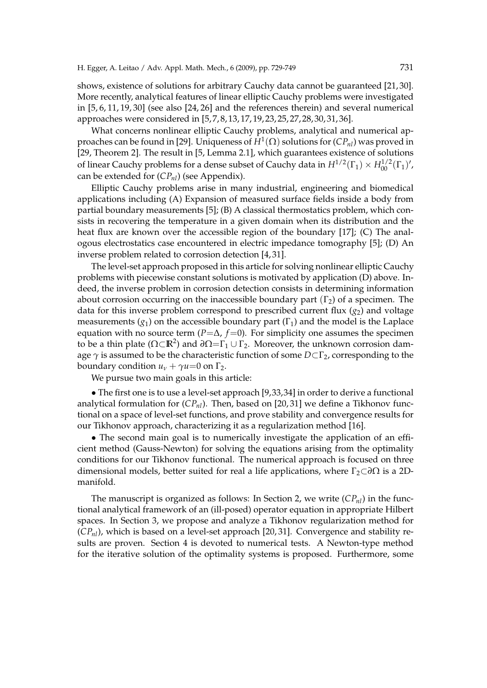shows, existence of solutions for arbitrary Cauchy data cannot be guaranteed [21, 30]. More recently, analytical features of linear elliptic Cauchy problems were investigated in [5, 6, 11, 19, 30] (see also [24, 26] and the references therein) and several numerical approaches were considered in [5, 7, 8, 13, 17, 19, 23, 25, 27, 28, 30, 31, 36].

What concerns nonlinear elliptic Cauchy problems, analytical and numerical approaches can be found in [29]. Uniqueness of *H*<sup>1</sup> (Ω) solutions for (*CPnl*) was proved in [29, Theorem 2]. The result in [5, Lemma 2.1], which guarantees existence of solutions of linear Cauchy problems for a dense subset of Cauchy data in  $H^{1/2}(\Gamma_1) \times H^{1/2}_{00}(\Gamma_1)'$ , can be extended for (*CPnl*) (see Appendix).

Elliptic Cauchy problems arise in many industrial, engineering and biomedical applications including (A) Expansion of measured surface fields inside a body from partial boundary measurements [5]; (B) A classical thermostatics problem, which consists in recovering the temperature in a given domain when its distribution and the heat flux are known over the accessible region of the boundary [17]; (C) The analogous electrostatics case encountered in electric impedance tomography [5]; (D) An inverse problem related to corrosion detection [4, 31].

The level-set approach proposed in this article for solving nonlinear elliptic Cauchy problems with piecewise constant solutions is motivated by application (D) above. Indeed, the inverse problem in corrosion detection consists in determining information about corrosion occurring on the inaccessible boundary part  $(\Gamma_2)$  of a specimen. The data for this inverse problem correspond to prescribed current flux  $(g_2)$  and voltage measurements  $(g_1)$  on the accessible boundary part  $(\Gamma_1)$  and the model is the Laplace equation with no source term ( $P=\Delta$ ,  $f=0$ ). For simplicity one assumes the specimen to be a thin plate ( $\Omega \subset \mathbb{R}^2$ ) and  $\partial \Omega = \Gamma_1 \cup \Gamma_2$ . Moreover, the unknown corrosion damage *γ* is assumed to be the characteristic function of some *D*⊂Γ<sub>2</sub>, corresponding to the boundary condition  $u<sub>v</sub> + \gamma u = 0$  on  $\Gamma_2$ .

We pursue two main goals in this article:

• The first one is to use a level-set approach [9,33,34] in order to derive a functional analytical formulation for (*CPnl*). Then, based on [20, 31] we define a Tikhonov functional on a space of level-set functions, and prove stability and convergence results for our Tikhonov approach, characterizing it as a regularization method [16].

• The second main goal is to numerically investigate the application of an efficient method (Gauss-Newton) for solving the equations arising from the optimality conditions for our Tikhonov functional. The numerical approach is focused on three dimensional models, better suited for real a life applications, where Γ<sub>2</sub>⊂∂Ω is a 2Dmanifold.

The manuscript is organized as follows: In Section 2, we write (*CPnl*) in the functional analytical framework of an (ill-posed) operator equation in appropriate Hilbert spaces. In Section 3, we propose and analyze a Tikhonov regularization method for (*CPnl*), which is based on a level-set approach [20, 31]. Convergence and stability results are proven. Section 4 is devoted to numerical tests. A Newton-type method for the iterative solution of the optimality systems is proposed. Furthermore, some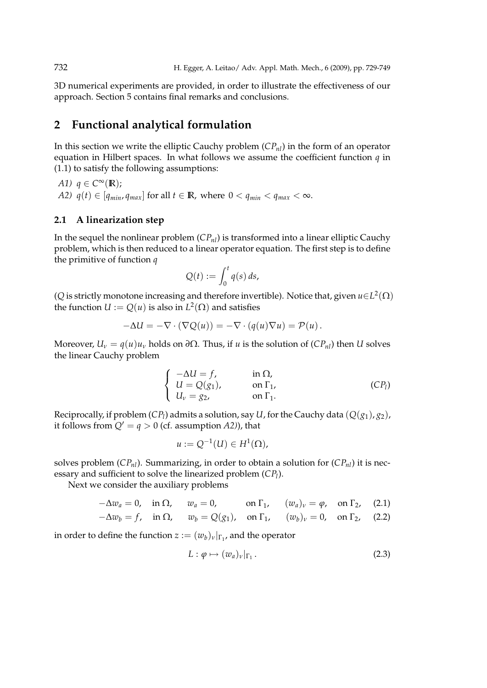3D numerical experiments are provided, in order to illustrate the effectiveness of our approach. Section 5 contains final remarks and conclusions.

# **2 Functional analytical formulation**

In this section we write the elliptic Cauchy problem (*CPnl*) in the form of an operator equation in Hilbert spaces. In what follows we assume the coefficient function *q* in (1.1) to satisfy the following assumptions:

$$
A1) \, q \in C^{\infty}(\mathbb{R});
$$

*A2)*  $q(t) \in [q_{min}, q_{max}]$  for all  $t \in \mathbb{R}$ , where  $0 < q_{min} < q_{max} < \infty$ .

### **2.1 A linearization step**

In the sequel the nonlinear problem (*CPnl*) is transformed into a linear elliptic Cauchy problem, which is then reduced to a linear operator equation. The first step is to define the primitive of function *q*

$$
Q(t) := \int_0^t q(s) \, ds,
$$

(*Q* is strictly monotone increasing and therefore invertible). Notice that, given  $u \in L^2(\Omega)$ the function  $U := Q(u)$  is also in  $L^2(\Omega)$  and satisfies

$$
-\Delta U = -\nabla \cdot (\nabla Q(u)) = -\nabla \cdot (q(u)\nabla u) = \mathcal{P}(u).
$$

Moreover,  $U_v = q(u)u_v$  holds on  $\partial\Omega$ . Thus, if *u* is the solution of  $(CP_{nl})$  then *U* solves the linear Cauchy problem

$$
\begin{cases}\n-\Delta U = f, & \text{in } \Omega, \\
U = Q(g_1), & \text{on } \Gamma_1, \\
U_v = g_2, & \text{on } \Gamma_1.\n\end{cases}
$$
\n(CP<sub>l</sub>)

Reciprocally, if problem (*CP<sup>l</sup>* ) admits a solution, say *U*, for the Cauchy data (*Q*(*g*1), *g*2), it follows from  $Q' = q > 0$  (cf. assumption *A2*)), that

$$
u:=Q^{-1}(U)\in H^1(\Omega),
$$

solves problem (*CPnl*). Summarizing, in order to obtain a solution for (*CPnl*) it is necessary and sufficient to solve the linearized problem (*CP<sup>l</sup>* ).

Next we consider the auxiliary problems

$$
-\Delta w_a = 0, \quad \text{in } \Omega, \qquad w_a = 0, \qquad \text{on } \Gamma_1, \qquad (w_a)_v = \varphi, \quad \text{on } \Gamma_2, \quad (2.1)
$$

$$
-\Delta w_b = f, \quad \text{in } \Omega, \qquad w_b = Q(g_1), \quad \text{on } \Gamma_1, \qquad (w_b)_v = 0, \quad \text{on } \Gamma_2, \quad (2.2)
$$

in order to define the function  $z := (w_b)_\nu|_{\Gamma_1}$ , and the operator

$$
L: \varphi \mapsto (w_a)_\nu|_{\Gamma_1} \,. \tag{2.3}
$$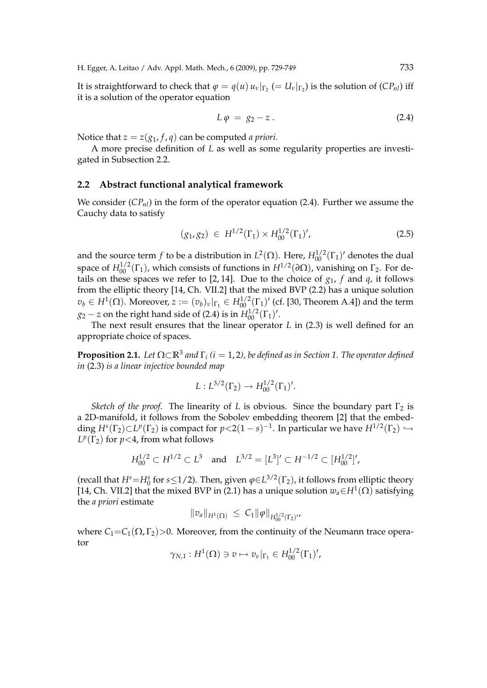H. Egger, A. Leitao / Adv. Appl. Math. Mech., 6 (2009), pp. 729-749 733

It is straightforward to check that  $\varphi = q(u) \, u_v|_{\Gamma_2} (= U_\nu|_{\Gamma_2})$  is the solution of  $(CP_{nl})$  iff it is a solution of the operator equation

$$
L \varphi = g_2 - z. \tag{2.4}
$$

Notice that  $z = z(g_1, f, q)$  can be computed *a priori*.

A more precise definition of *L* as well as some regularity properties are investigated in Subsection 2.2.

#### **2.2 Abstract functional analytical framework**

We consider  $(CP_{nl})$  in the form of the operator equation (2.4). Further we assume the Cauchy data to satisfy

$$
(g_1, g_2) \in H^{1/2}(\Gamma_1) \times H_{00}^{1/2}(\Gamma_1)', \tag{2.5}
$$

and the source term  $f$  to be a distribution in  $L^2(\Omega)$ . Here,  $H_{00}^{1/2}(\Gamma_1)'$  denotes the dual space of  $H_{00}^{1/2}(\Gamma_1)$ , which consists of functions in  $H^{1/2}(\partial\Omega)$ , vanishing on  $\Gamma_2$ . For details on these spaces we refer to [2, 14]. Due to the choice of  $g_1$ ,  $f$  and  $q$ , it follows from the elliptic theory [14, Ch. VII.2] that the mixed BVP (2.2) has a unique solution  $v_b \in H^1(\Omega)$ . Moreover,  $z := (v_b)_v|_{\Gamma_1} \in H^{1/2}_{00}(\Gamma_1)'$  (cf. [30, Theorem A.4]) and the term  $g_2 - z$  on the right hand side of (2.4) is in  $H_{00}^{1/2}(\Gamma_1)'$ .

The next result ensures that the linear operator *L* in (2.3) is well defined for an appropriate choice of spaces.

**Proposition 2.1.** Let  $\Omega \subset \mathbb{R}^3$  and  $\Gamma_i$  (i = 1, 2), be defined as in Section 1. The operator defined *in* (2.3) *is a linear injective bounded map*

$$
L: L^{3/2}(\Gamma_2) \to H_{00}^{1/2}(\Gamma_1)'
$$

*Sketch of the proof.* The linearity of *L* is obvious. Since the boundary part  $\Gamma_2$  is a 2D-manifold, it follows from the Sobolev embedding theorem [2] that the embedding  $H^s(\Gamma_2) \subset L^p(\Gamma_2)$  is compact for  $p < 2(1-s)^{-1}$ . In particular we have  $H^{1/2}(\Gamma_2) \hookrightarrow$  $L^p(\Gamma_2)$  for  $p<4$ , from what follows

$$
H_{00}^{1/2} \subset H^{1/2} \subset L^3 \quad \text{and} \quad L^{3/2} = [L^3]' \subset H^{-1/2} \subset [H_{00}^{1/2}]'
$$

(recall that  $H^s$ = $H^s_0$  for  $s$ ≤1/2). Then, given  $\varphi$ ∈ $L^{3/2}(\Gamma_2)$ , it follows from elliptic theory [14, Ch. VII.2] that the mixed BVP in (2.1) has a unique solution  $w_a \in H^1(\Omega)$  satisfying the *a priori* estimate

$$
||v_a||_{H^1(\Omega)} \leq C_1 ||\varphi||_{H^{1/2}_{00}(\Gamma_2)'}.
$$

where  $C_1 = C_1(\Omega, \Gamma_2) > 0$ . Moreover, from the continuity of the Neumann trace operator

$$
\gamma_{N,1}:H^1(\Omega)\ni v\mapsto v_v|_{\Gamma_1}\in H^{1/2}_{00}(\Gamma_1)',
$$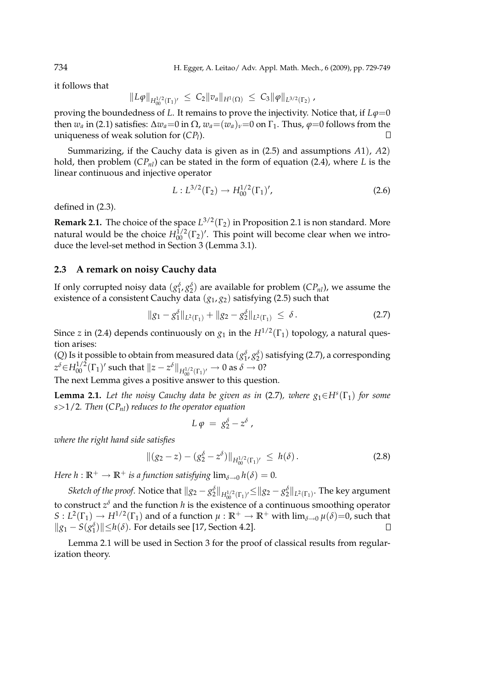it follows that

$$
||L\varphi||_{H_{00}^{1/2}(\Gamma_1)'} \leq C_2 ||v_a||_{H^1(\Omega)} \leq C_3 ||\varphi||_{L^{3/2}(\Gamma_2)},
$$

proving the boundedness of *L*. It remains to prove the injectivity. Notice that, if  $L\varphi=0$ then  $w_a$  in (2.1) satisfies:  $\Delta w_a = 0$  in  $\Omega$ ,  $w_a = (w_a)_v = 0$  on  $\Gamma_1$ . Thus,  $\varphi = 0$  follows from the uniqueness of weak solution for (*CP<sup>l</sup>* ).  $\Box$ 

Summarizing, if the Cauchy data is given as in (2.5) and assumptions *A*1), *A*2) hold, then problem (*CPnl*) can be stated in the form of equation (2.4), where *L* is the linear continuous and injective operator

$$
L: L^{3/2}(\Gamma_2) \to H^{1/2}_{00}(\Gamma_1)', \tag{2.6}
$$

defined in (2.3).

**Remark 2.1.** The choice of the space  $L^{3/2}(\Gamma_2)$  in Proposition 2.1 is non standard. More natural would be the choice  $H_{00}^{1/2}(\Gamma_2)'$ . This point will become clear when we introduce the level-set method in Section 3 (Lemma 3.1).

#### **2.3 A remark on noisy Cauchy data**

If only corrupted noisy data  $(g_1^{\delta}, g_2^{\delta})$  are available for problem (*CP<sub>nl</sub>*), we assume the existence of a consistent Cauchy data (*g*1, *g*2) satisfying (2.5) such that

$$
||g_1 - g_1^{\delta}||_{L^2(\Gamma_1)} + ||g_2 - g_2^{\delta}||_{L^2(\Gamma_1)} \leq \delta.
$$
 (2.7)

Since *z* in (2.4) depends continuously on  $g_1$  in the  $H^{1/2}(\Gamma_1)$  topology, a natural question arises:

(*Q*) Is it possible to obtain from measured data  $(g_1^{\delta}, g_2^{\delta})$  satisfying (2.7), a corresponding  $z^\delta{\in}H_{00}^{1/2}(\Gamma_1)'$  such that  $\|z-z^\delta\|_{H_{00}^{1/2}(\Gamma_1)'}\to 0$  as  $\delta\to 0$ ?

The next Lemma gives a positive answer to this question.

**Lemma 2.1.** Let the noisy Cauchy data be given as in (2.7), where  $g_1 \in H^s(\Gamma_1)$  for some *s*>1/2*. Then* (*CPnl*) *reduces to the operator equation*

$$
L \varphi = g_2^{\delta} - z^{\delta} ,
$$

*where the right hand side satisfies*

$$
\|(g_2 - z) - (g_2^{\delta} - z^{\delta})\|_{H_{00}^{1/2}(\Gamma_1)'} \le h(\delta).
$$
\n(2.8)

*Here*  $h : \mathbb{R}^+ \to \mathbb{R}^+$  *is a function satisfying*  $\lim_{\delta \to 0} h(\delta) = 0$ *.* 

*Sketch of the proof.* Notice that  $||g_2 - g_2^{\delta}||_{H_{00}^{1/2}(\Gamma_1)'} \le ||g_2 - g_2^{\delta}||_{L^2(\Gamma_1)}$ . The key argument to construct *z <sup>δ</sup>* and the function *h* is the existence of a continuous smoothing operator  $S: L^2(\Gamma_1) \to H^{1/2}(\Gamma_1)$  and of a function  $\mu: \mathbb{R}^+ \to \mathbb{R}^+$  with  $\lim_{\delta \to 0} \mu(\delta)=0$ , such that  $||g_1 - S(g_1^{\delta})|| \leq h(\delta)$ . For details see [17, Section 4.2].

Lemma 2.1 will be used in Section 3 for the proof of classical results from regularization theory.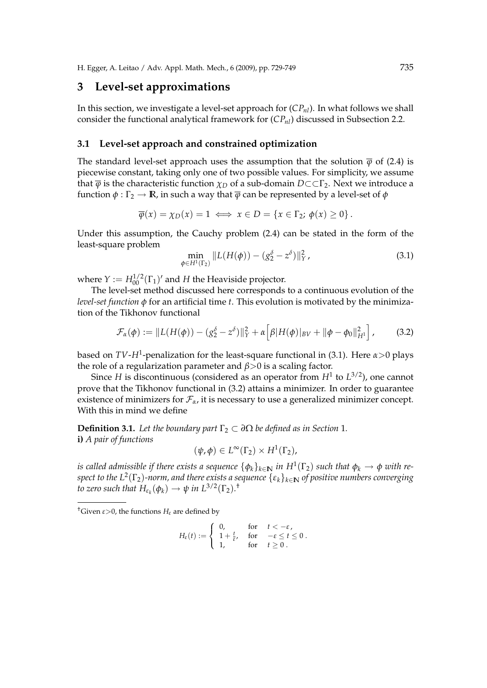## **3 Level-set approximations**

In this section, we investigate a level-set approach for (*CPnl*). In what follows we shall consider the functional analytical framework for (*CPnl*) discussed in Subsection 2.2.

#### **3.1 Level-set approach and constrained optimization**

The standard level-set approach uses the assumption that the solution  $\bar{\varphi}$  of (2.4) is piecewise constant, taking only one of two possible values. For simplicity, we assume that  $\overline{\varphi}$  is the characteristic function  $\chi_D$  of a sub-domain  $D \subset \subset \Gamma_2$ . Next we introduce a function  $\phi : \Gamma_2 \to \mathbb{R}$ , in such a way that  $\overline{\phi}$  can be represented by a level-set of  $\phi$ 

$$
\overline{\varphi}(x) = \chi_D(x) = 1 \iff x \in D = \{x \in \Gamma_2; \ \varphi(x) \ge 0\}.
$$

Under this assumption, the Cauchy problem (2.4) can be stated in the form of the least-square problem

$$
\min_{\phi \in H^1(\Gamma_2)} \| L(H(\phi)) - (g_2^{\delta} - z^{\delta}) \|_Y^2, \tag{3.1}
$$

where  $Y := H_{00}^{1/2}(\Gamma_1)'$  and  $H$  the Heaviside projector.

The level-set method discussed here corresponds to a continuous evolution of the *level-set function φ* for an artificial time *t*. This evolution is motivated by the minimization of the Tikhonov functional

$$
\mathcal{F}_{\alpha}(\phi) := \|L(H(\phi)) - (g_2^{\delta} - z^{\delta})\|_Y^2 + \alpha \Big[\beta |H(\phi)|_{BV} + \|\phi - \phi_0\|_{H^1}^2\Big],\tag{3.2}
$$

based on *TV*-*H*<sup>1</sup> -penalization for the least-square functional in (3.1). Here *α*>0 plays the role of a regularization parameter and *β*>0 is a scaling factor.

Since *H* is discontinuous (considered as an operator from *H*<sup>1</sup> to *L* 3/2 ), one cannot prove that the Tikhonov functional in (3.2) attains a minimizer. In order to guarantee existence of minimizers for  $\mathcal{F}_{\alpha}$ , it is necessary to use a generalized minimizer concept. With this in mind we define

**Definition 3.1.** Let the boundary part  $\Gamma_2 \subset \partial \Omega$  be defined as in Section 1. **i)** *A pair of functions*

$$
(\psi,\phi)\in L^{\infty}(\Gamma_2)\times H^1(\Gamma_2),
$$

 $i$ s called admissible if there exists a sequence  $\{\phi_k\}_{k\in \mathbf{N}}$  in  $H^1(\Gamma_2)$  such that  $\phi_k\to \phi$  with re*spect to the L* 2 (Γ2)*-norm, and there exists a sequence* {*εk*}*k*∈IN *of positive numbers converging to zero such that*  $H_{\varepsilon_k}(\phi_k) \to \psi$  *in*  $L^{3/2}(\Gamma_2)$ .<sup>†</sup>

$$
H_{\varepsilon}(t) := \begin{cases} 0, & \text{for} \quad t < -\varepsilon, \\ 1 + \frac{t}{\varepsilon}, & \text{for} \quad -\varepsilon \le t \le 0 \\ 1, & \text{for} \quad t \ge 0 \end{cases}.
$$

<sup>&</sup>lt;sup>†</sup>Given  $\varepsilon$ >0, the functions  $H_{\varepsilon}$  are defined by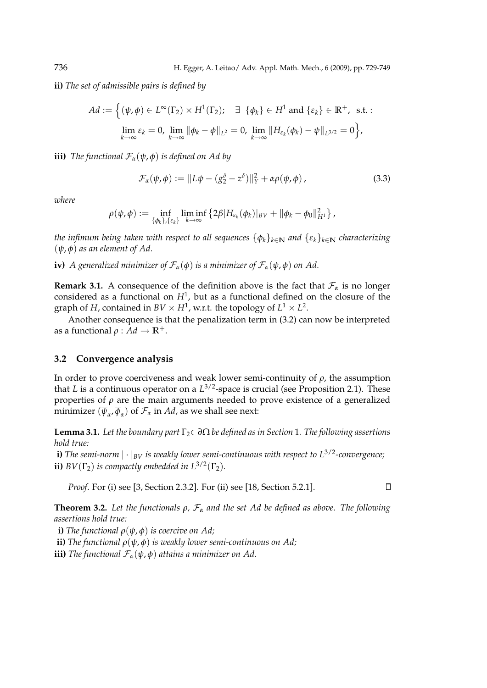**ii)** *The set of admissible pairs is defined by*

$$
Ad := \left\{ (\psi, \phi) \in L^{\infty}(\Gamma_2) \times H^1(\Gamma_2); \quad \exists \ \{\phi_k\} \in H^1 \text{ and } \{\varepsilon_k\} \in \mathbb{R}^+, \text{ s.t. :}
$$

$$
\lim_{k \to \infty} \varepsilon_k = 0, \lim_{k \to \infty} \|\phi_k - \phi\|_{L^2} = 0, \lim_{k \to \infty} \|H_{\varepsilon_k}(\phi_k) - \psi\|_{L^{3/2}} = 0 \right\},
$$

**iii)** *The functional*  $\mathcal{F}_\alpha(\psi, \phi)$  *is defined on Ad by* 

$$
\mathcal{F}_{\alpha}(\psi,\phi) := \|L\psi - (g_2^{\delta} - z^{\delta})\|_Y^2 + \alpha \rho(\psi,\phi), \qquad (3.3)
$$

*where*

$$
\rho(\psi,\phi):=\inf_{\{\phi_k\},\{\varepsilon_k\}}\liminf_{k\to\infty}\left\{2\beta|H_{\varepsilon_k}(\phi_k)|_{BV}+\|\phi_k-\phi_0\|_{H^1}^2\right\},
$$

*the infimum being taken with respect to all sequences*  $\{\phi_k\}_{k\in\mathbb{N}}$  *and*  $\{\varepsilon_k\}_{k\in\mathbb{N}}$  *characterizing* (*ψ*, *φ*) *as an element of Ad.*

**iv)** *A* generalized minimizer of  $\mathcal{F}_{\alpha}(\phi)$  is a minimizer of  $\mathcal{F}_{\alpha}(\psi,\phi)$  on Ad.

**Remark 3.1.** A consequence of the definition above is the fact that  $\mathcal{F}_{\alpha}$  is no longer considered as a functional on  $H^1$ , but as a functional defined on the closure of the graph of *H*, contained in  $BV \times H^1$ , w.r.t. the topology of  $L^1 \times L^2$ .

Another consequence is that the penalization term in (3.2) can now be interpreted as a functional  $\rho : Ad \to \mathbb{R}^+$ .

#### **3.2 Convergence analysis**

In order to prove coerciveness and weak lower semi-continuity of  $\rho$ , the assumption that *L* is a continuous operator on a  $L^{3/2}$ -space is crucial (see Proposition 2.1). These properties of  $\rho$  are the main arguments needed to prove existence of a generalized minimizer  $(\overline{\psi}_\alpha,\overline{\phi}_\alpha)$  of  $\mathcal{F}_\alpha$  in  $Ad$ , as we shall see next:

**Lemma 3.1.** *Let the boundary part* Γ<sub>2</sub>⊂∂Ω *be defined as in Section 1. The following assertions hold true:*

**i)** The semi-norm  $|\cdot|_{BV}$  is weakly lower semi-continuous with respect to  $L^{3/2}$ -convergence; **ii)**  $BV(\Gamma_2)$  *is compactly embedded in*  $L^{3/2}(\Gamma_2)$ *.* 

*Proof*. For (i) see [3, Section 2.3.2]. For (ii) see [18, Section 5.2.1].

 $\Box$ 

**Theorem 3.2.** *Let the functionals ρ,* F*<sup>α</sup> and the set Ad be defined as above. The following assertions hold true:*

**i)** *The functional*  $\rho(\psi, \phi)$  *is coercive on Ad;* 

**ii)** *The functional ρ*(*ψ*, *φ*) *is weakly lower semi-continuous on Ad;*

**iii)** *The functional*  $\mathcal{F}_{\alpha}(\psi, \phi)$  *attains a minimizer on Ad.*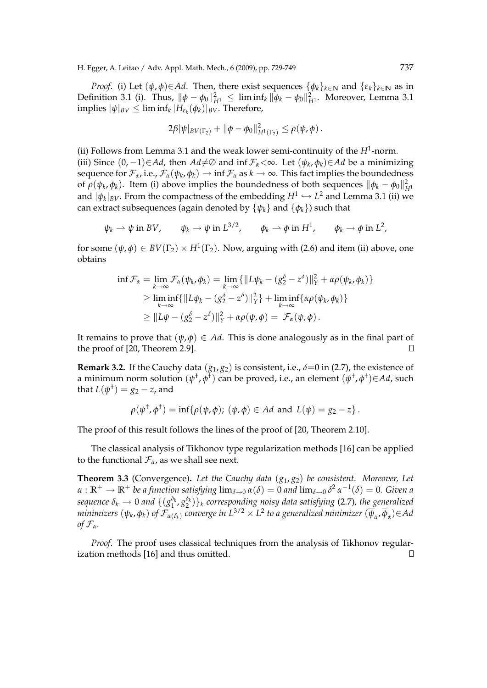*Proof.* (i) Let  $(\psi, \phi) \in Ad$ . Then, there exist sequences  $\{\phi_k\}_{k \in \mathbb{N}}$  and  $\{\varepsilon_k\}_{k \in \mathbb{N}}$  as in Definition 3.1 (i). Thus,  $\|\phi - \phi_0\|_{H^1}^2 \leq \liminf_k \|\phi_k - \phi_0\|_{H^1}^2$ . Moreover, Lemma 3.1  $\text{implies} \, |\psi|_{BV} \leq \liminf_k |H_{\varepsilon_k}(\phi_k)|_{BV}.$  Therefore,

$$
2\beta |\psi|_{BV(\Gamma_2)} + ||\phi - \phi_0||^2_{H^1(\Gamma_2)} \leq \rho(\psi, \phi).
$$

(ii) Follows from Lemma 3.1 and the weak lower semi-continuity of the  $H^1$ -norm. (iii) Since  $(0, -1) \in Ad$ , then  $Ad \neq \emptyset$  and inf  $\mathcal{F}_{\alpha} < \infty$ . Let  $(\psi_k, \phi_k) \in Ad$  be a minimizing sequence for  $\mathcal{F}_\alpha$ , i.e.,  $\mathcal{F}_\alpha(\psi_k,\phi_k)\to \inf \mathcal{F}_\alpha$  as  $k\to \infty.$  This fact implies the boundedness of  $\rho(\psi_k, \phi_k)$ . Item (i) above implies the boundedness of both sequences  $\|\phi_k - \phi_0\|_{H^1}^2$ and  $|\psi_k|_{BV}.$  From the compactness of the embedding  $H^1 \hookrightarrow L^2$  and Lemma 3.1 (ii) we can extract subsequences (again denoted by  $\{\psi_k\}$  and  $\{\phi_k\}$ ) such that

$$
\psi_k \rightharpoonup \psi
$$
 in *BV*,  $\psi_k \rightharpoonup \psi$  in  $L^{3/2}$ ,  $\phi_k \rightharpoonup \phi$  in  $H^1$ ,  $\phi_k \rightharpoonup \phi$  in  $L^2$ ,

for some  $(\psi, \phi) \in BV(\Gamma_2) \times H^1(\Gamma_2)$ . Now, arguing with (2.6) and item (ii) above, one obtains

$$
\inf \mathcal{F}_{\alpha} = \lim_{k \to \infty} \mathcal{F}_{\alpha}(\psi_k, \phi_k) = \lim_{k \to \infty} \{ ||L\psi_k - (g_2^{\delta} - z^{\delta})||_Y^2 + \alpha \rho(\psi_k, \phi_k) \}
$$
  
\n
$$
\geq \liminf_{k \to \infty} \{ ||L\psi_k - (g_2^{\delta} - z^{\delta})||_Y^2 \} + \liminf_{k \to \infty} \{ \alpha \rho(\psi_k, \phi_k) \}
$$
  
\n
$$
\geq ||L\psi - (g_2^{\delta} - z^{\delta})||_Y^2 + \alpha \rho(\psi, \phi) = \mathcal{F}_{\alpha}(\psi, \phi).
$$

It remains to prove that  $(\psi, \phi) \in Ad$ . This is done analogously as in the final part of the proof of [20, Theorem 2.9].  $\Box$ 

**Remark 3.2.** If the Cauchy data  $(g_1, g_2)$  is consistent, i.e.,  $\delta = 0$  in (2.7), the existence of a minimum norm solution (ψ<sup>†</sup>,φ<sup>†</sup>) can be proved, i.e., an element (ψ<sup>†</sup>,φ<sup>†</sup>)∈Ad, such that  $L(\psi^{\dagger}) = g_2 - z$ , and

$$
\rho(\psi^{\dagger}, \phi^{\dagger}) = \inf \{ \rho(\psi, \phi); (\psi, \phi) \in Ad \text{ and } L(\psi) = g_2 - z \}.
$$

The proof of this result follows the lines of the proof of [20, Theorem 2.10].

The classical analysis of Tikhonov type regularization methods [16] can be applied to the functional  $\mathcal{F}_{\alpha}$ , as we shall see next.

**Theorem 3.3** (Convergence)**.** *Let the Cauchy data* (*g*1, *g*2) *be consistent. Moreover, Let*  $\alpha: \mathbb{R}^+ \to \mathbb{R}^+$  *be a function satisfying*  $\lim_{\delta\to 0} \alpha(\delta) = 0$  *and*  $\lim_{\delta\to 0} \delta^2 \, \alpha^{-1}(\delta) = 0$ *. Given a*  $s$ equence  $\delta_k \to 0$  and  $\{(g_1^{\delta_k}, g_2^{\delta_k})\}_k$  corresponding noisy data satisfying (2.7), the generalized  $m$ inimizers  $(\psi_k, \phi_k)$  of  $\mathcal{F}_{\alpha(\delta_k)}$  converge in  $L^{3/2}\times L^2$  to a generalized minimizer  $(\overline\psi_\alpha, \overline\phi_\alpha)$  $\in$  Ad *of*  $\mathcal{F}_{\alpha}$ *.* 

*Proof*. The proof uses classical techniques from the analysis of Tikhonov regularization methods [16] and thus omitted.П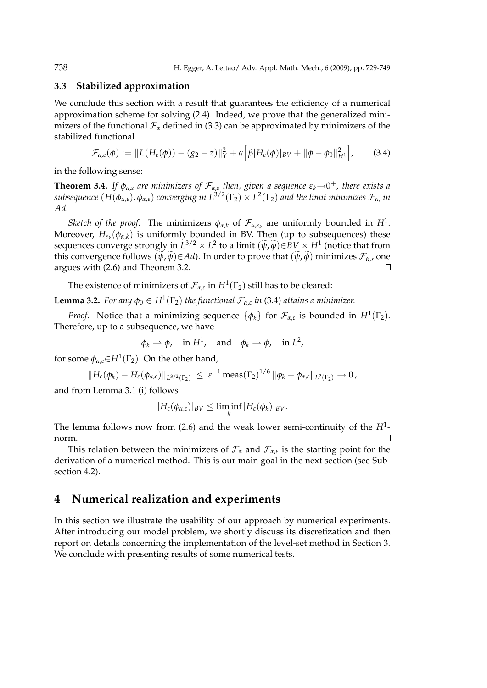#### **3.3 Stabilized approximation**

We conclude this section with a result that guarantees the efficiency of a numerical approximation scheme for solving (2.4). Indeed, we prove that the generalized minimizers of the functional  $\mathcal{F}_{\alpha}$  defined in (3.3) can be approximated by minimizers of the stabilized functional h i

$$
\mathcal{F}_{\alpha,\varepsilon}(\phi) := \|L(H_{\varepsilon}(\phi)) - (g_2 - z)\|_Y^2 + \alpha \Big[\beta |H_{\varepsilon}(\phi)|_{BV} + \|\phi - \phi_0\|_{H^1}^2\Big],\tag{3.4}
$$

in the following sense:

**Theorem 3.4.** If  $\phi_{\alpha,\varepsilon}$  are minimizers of  $\mathcal{F}_{\alpha,\varepsilon}$  then, given a sequence  $\varepsilon_k \rightarrow 0^+$ , there exists a  $s$ ubsequence  $(H(\phi_{\alpha,\varepsilon}),\phi_{\alpha,\varepsilon})$  converging in  $L^{3/2}(\Gamma_2)\times L^2(\Gamma_2)$  and the limit minimizes  $\mathcal{F}_{\alpha}$ , in *Ad.*

*Sketch of the proof.* The minimizers  $\phi_{\alpha,k}$  of  $\mathcal{F}_{\alpha,\varepsilon_k}$  are uniformly bounded in  $H^1$ . Moreover,  $H_{\varepsilon_k}(\phi_{\alpha,k})$  is uniformly bounded in BV. Then (up to subsequences) these sequences converge strongly in  $L^{3/2} \times L^2$  to a limit  $(\widetilde{\psi}, \widetilde{\phi}) \in BV \times H^1$  (notice that from this convergence follows  $(\psi, \widetilde{\phi}) \in Ad$ ). In order to prove that  $(\widetilde{\psi}, \widetilde{\phi})$  minimizes  $\mathcal{F}_{\alpha}$ , one argues with (2.6) and Theorem 3.2.

The existence of minimizers of  $\mathcal{F}_{\alpha,\varepsilon}$  in  $H^1(\Gamma_2)$  still has to be cleared:

**Lemma 3.2.** *For any*  $\phi_0 \in H^1(\Gamma_2)$  *the functional*  $\mathcal{F}_{\alpha,\varepsilon}$  *in* (3.4) *attains a minimizer.* 

*Proof.* Notice that a minimizing sequence  $\{\phi_k\}$  for  $\mathcal{F}_{\alpha,\varepsilon}$  is bounded in  $H^1(\Gamma_2)$ . Therefore, up to a subsequence, we have

$$
\phi_k \rightharpoonup \phi
$$
, in  $H^1$ , and  $\phi_k \rightharpoonup \phi$ , in  $L^2$ ,

for some  $\phi_{\alpha,\varepsilon} {\in} H^1(\Gamma_2)$ . On the other hand,

$$
||H_{\varepsilon}(\phi_k)-H_{\varepsilon}(\phi_{\alpha,\varepsilon})||_{L^{3/2}(\Gamma_2)} \leq \varepsilon^{-1} \operatorname{meas}(\Gamma_2)^{1/6} ||\phi_k-\phi_{\alpha,\varepsilon}||_{L^2(\Gamma_2)} \to 0,
$$

and from Lemma 3.1 (i) follows

$$
|H_{\varepsilon}(\phi_{\alpha,\varepsilon})|_{BV}\leq \liminf_{k}|H_{\varepsilon}(\phi_k)|_{BV}.
$$

The lemma follows now from  $(2.6)$  and the weak lower semi-continuity of the  $H<sup>1</sup>$ norm.  $\Box$ 

This relation between the minimizers of  $\mathcal{F}_{\alpha}$  and  $\mathcal{F}_{\alpha,\varepsilon}$  is the starting point for the derivation of a numerical method. This is our main goal in the next section (see Subsection 4.2).

## **4 Numerical realization and experiments**

In this section we illustrate the usability of our approach by numerical experiments. After introducing our model problem, we shortly discuss its discretization and then report on details concerning the implementation of the level-set method in Section 3. We conclude with presenting results of some numerical tests.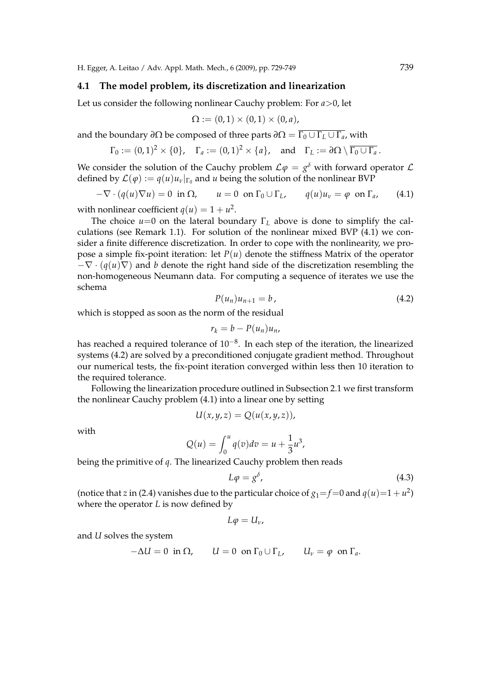H. Egger, A. Leitao / Adv. Appl. Math. Mech., 6 (2009), pp. 729-749 739

#### **4.1 The model problem, its discretization and linearization**

Let us consider the following nonlinear Cauchy problem: For *a*>0, let

$$
\Omega := (0,1) \times (0,1) \times (0,a),
$$

and the boundary *∂*Ω be composed of three parts  $\partial\Omega = \overline{\Gamma_0 \cup \Gamma_L \cup \Gamma_a}$ , with

$$
\Gamma_0 := (0,1)^2 \times \{0\}, \quad \Gamma_a := (0,1)^2 \times \{a\}, \quad \text{and} \quad \Gamma_L := \partial \Omega \setminus \overline{\Gamma_0 \cup \Gamma_a}.
$$

We consider the solution of the Cauchy problem  $\mathcal{L}\varphi = g^{\delta}$  with forward operator  $\mathcal{L}$ defined by  $\mathcal{L}(\varphi) := q(u)u_v|_{\Gamma_0}$  and *u* being the solution of the nonlinear BVP

 $-\nabla \cdot (q(u)\nabla u) = 0$  in  $\Omega$ ,  $u = 0$  on  $\Gamma_0 \cup \Gamma_L$ ,  $q(u)u_v = \varphi$  on  $\Gamma_a$ , (4.1)

with nonlinear coefficient  $q(u) = 1 + u^2$ .

The choice  $u=0$  on the lateral boundary  $\Gamma_L$  above is done to simplify the calculations (see Remark 1.1). For solution of the nonlinear mixed BVP (4.1) we consider a finite difference discretization. In order to cope with the nonlinearity, we propose a simple fix-point iteration: let  $P(u)$  denote the stiffness Matrix of the operator  $-\nabla \cdot (q(u)\nabla)$  and *b* denote the right hand side of the discretization resembling the non-homogeneous Neumann data. For computing a sequence of iterates we use the schema

$$
P(u_n)u_{n+1}=b\,,\tag{4.2}
$$

which is stopped as soon as the norm of the residual

$$
r_k = b - P(u_n)u_n,
$$

has reached a required tolerance of  $10^{-8}$ . In each step of the iteration, the linearized systems (4.2) are solved by a preconditioned conjugate gradient method. Throughout our numerical tests, the fix-point iteration converged within less then 10 iteration to the required tolerance.

Following the linearization procedure outlined in Subsection 2.1 we first transform the nonlinear Cauchy problem (4.1) into a linear one by setting

$$
U(x, y, z) = Q(u(x, y, z)),
$$

with

$$
Q(u) = \int_0^u q(v) dv = u + \frac{1}{3}u^3,
$$

being the primitive of *q*. The linearized Cauchy problem then reads

$$
L\varphi = g^{\delta},\tag{4.3}
$$

(notice that *z* in (2.4) vanishes due to the particular choice of  $g_1 = f = 0$  and  $q(u) = 1 + u^2$ ) where the operator *L* is now defined by

$$
L\varphi=U_{\nu},
$$

and *U* solves the system

$$
-\Delta U = 0 \text{ in } \Omega, \qquad U = 0 \text{ on } \Gamma_0 \cup \Gamma_L, \qquad U_v = \varphi \text{ on } \Gamma_a.
$$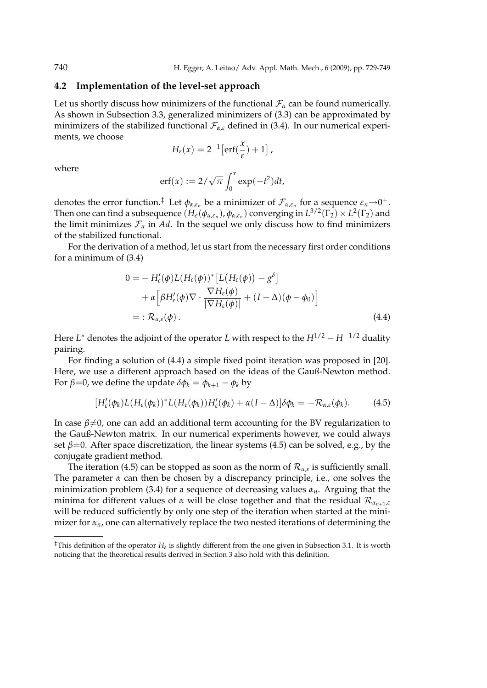#### **4.2 Implementation of the level-set approach**

Let us shortly discuss how minimizers of the functional  $\mathcal{F}_{\alpha}$  can be found numerically. As shown in Subsection 3.3, generalized minimizers of (3.3) can be approximated by minimizers of the stabilized functional  $\mathcal{F}_{\alpha,\varepsilon}$  defined in (3.4). In our numerical experiments, we choose

$$
H_{\varepsilon}(x) = 2^{-1} \big[ erf(\frac{x}{\varepsilon}) + 1 \big] ,
$$

where

$$
\mathrm{erf}(x) := 2/\sqrt{\pi} \int_0^x \exp(-t^2) dt,
$$

denotes the error function.<sup>‡</sup> Let  $\phi_{\alpha,\varepsilon_n}$  be a minimizer of  $\mathcal{F}_{\alpha,\varepsilon_n}$  for a sequence  $\varepsilon_n{\to}0^+.$ Then one can find a subsequence  $(H_\epsilon(\phi_{\alpha,\varepsilon_n}),\phi_{\alpha,\varepsilon_n})$  converging in  $L^{3/2}(\Gamma_2)\times L^2(\Gamma_2)$  and the limit minimizes  $\mathcal{F}_{\alpha}$  in *Ad*. In the sequel we only discuss how to find minimizers of the stabilized functional.

For the derivation of a method, let us start from the necessary first order conditions for a minimum of (3.4)

$$
0 = - H'_{\varepsilon}(\phi) L(H_{\varepsilon}(\phi))^* [L(H_{\varepsilon}(\phi)) - g^{\delta}] + \alpha \left[ \beta H'_{\varepsilon}(\phi) \nabla \cdot \frac{\nabla H_{\varepsilon}(\phi)}{|\nabla H_{\varepsilon}(\phi)|} + (I - \Delta)(\phi - \phi_0) \right] = : \mathcal{R}_{\alpha, \varepsilon}(\phi).
$$
 (4.4)

Here *L* <sup>∗</sup> denotes the adjoint of the operator *L* with respect to the *H*1/2 − *H*−1/2 duality pairing.

For finding a solution of (4.4) a simple fixed point iteration was proposed in [20]. Here, we use a different approach based on the ideas of the Gauß-Newton method. For *β*=0, we define the update  $δφ$ <sup>*k*</sup> =  $φ$ <sup>*k*</sup>+1</sub> –  $φ$ <sup>*k*</sup> by

$$
[H'_{\varepsilon}(\phi_k)L(H_{\varepsilon}(\phi_k))^*L(H_{\varepsilon}(\phi_k))H'_{\varepsilon}(\phi_k)+\alpha(I-\Delta)]\delta\phi_k=-\mathcal{R}_{\alpha,\varepsilon}(\phi_k). \hspace{1cm} (4.5)
$$

In case  $\beta \neq 0$ , one can add an additional term accounting for the BV regularization to the Gauß-Newton matrix. In our numerical experiments however, we could always set  $\beta$ =0. After space discretization, the linear systems (4.5) can be solved, e.g., by the conjugate gradient method.

The iteration (4.5) can be stopped as soon as the norm of  $\mathcal{R}_{\alpha,\varepsilon}$  is sufficiently small. The parameter  $\alpha$  can then be chosen by a discrepancy principle, i.e., one solves the minimization problem (3.4) for a sequence of decreasing values *αn*. Arguing that the minima for different values of *α* will be close together and that the residual R*αn*+1,*<sup>ε</sup>* will be reduced sufficiently by only one step of the iteration when started at the minimizer for *αn*, one can alternatively replace the two nested iterations of determining the

<sup>&</sup>lt;sup>‡</sup>This definition of the operator  $H_\varepsilon$  is slightly different from the one given in Subsection 3.1. It is worth noticing that the theoretical results derived in Section 3 also hold with this definition.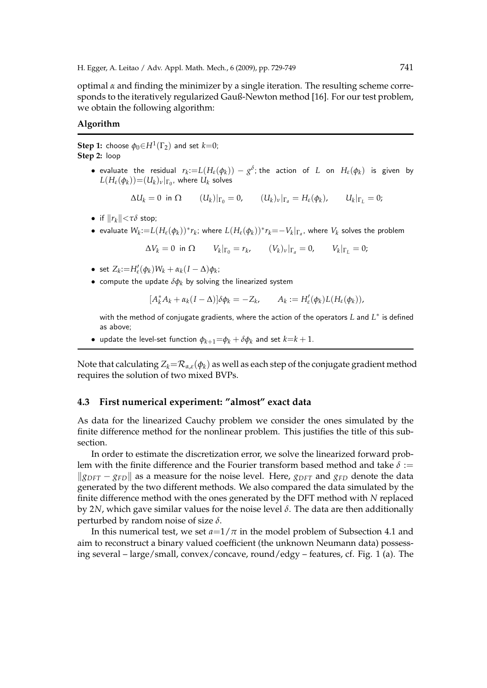optimal  $\alpha$  and finding the minimizer by a single iteration. The resulting scheme corresponds to the iteratively regularized Gauß-Newton method [16]. For our test problem, we obtain the following algorithm:

#### **Algorithm**

 $\mathbf{Step~1:}$  choose  $\phi_0{\in}H^1(\Gamma_2)$  and set  $k{=}0;$ **Step 2:** loop

> • evaluate the residual  $r_k := L(H_\varepsilon(\phi_k)) - g^\delta$ ; the action of *L* on  $H_\varepsilon(\phi_k)$  is given by  $L(H_\varepsilon(\phi_k))\!=\!(U_k)_\nu|_{\Gamma_0}$ , where  $U_k$  solves

$$
\Delta U_k = 0 \text{ in } \Omega \qquad (U_k)|_{\Gamma_0} = 0, \qquad (U_k)_\nu|_{\Gamma_a} = H_\varepsilon(\phi_k), \qquad U_k|_{\Gamma_L} = 0;
$$

- if  $||r_k|| < \tau \delta$  stop;
- $\bullet\,$  evaluate  $W_k\!:=\!L(H_\varepsilon(\phi_k))^*\!r_k$ ; where  $L(H_\varepsilon(\phi_k))^*\!r_k\!=\!-V_k|_{\Gamma_a}$ , where  $V_k$  solves the problem

$$
\Delta V_k = 0 \text{ in } \Omega \qquad V_k|_{\Gamma_0} = r_k, \qquad (V_k)_\nu|_{\Gamma_a} = 0, \qquad V_k|_{\Gamma_L} = 0;
$$

- set  $Z_k := H'_\varepsilon(\phi_k)W_k + \alpha_k(I \Delta)\phi_k$ ;
- compute the update  $\delta \phi_k$  by solving the linearized system

$$
[A_k^* A_k + \alpha_k (I - \Delta)] \delta \phi_k = -Z_k, \qquad A_k := H'_\varepsilon(\phi_k) L(H_\varepsilon(\phi_k)),
$$

with the method of conjugate gradients, where the action of the operators *L* and *L* ∗ is defined as above;

• update the level-set function  $\phi_{k+1} = \phi_k + \delta \phi_k$  and set  $k = k + 1$ .

Note that calculating  $Z_k = \mathcal{R}_{\alpha,\varepsilon}(\phi_k)$  as well as each step of the conjugate gradient method requires the solution of two mixed BVPs.

#### **4.3 First numerical experiment: "almost" exact data**

As data for the linearized Cauchy problem we consider the ones simulated by the finite difference method for the nonlinear problem. This justifies the title of this subsection.

In order to estimate the discretization error, we solve the linearized forward problem with the finite difference and the Fourier transform based method and take  $\delta$  :=  $\|g_{DFT} - g_{FD}\|$  as a measure for the noise level. Here,  $g_{DFT}$  and  $g_{FD}$  denote the data generated by the two different methods. We also compared the data simulated by the finite difference method with the ones generated by the DFT method with *N* replaced by 2*N*, which gave similar values for the noise level *δ*. The data are then additionally perturbed by random noise of size *δ*.

In this numerical test, we set  $a=1/\pi$  in the model problem of Subsection 4.1 and aim to reconstruct a binary valued coefficient (the unknown Neumann data) possessing several – large/small, convex/concave, round/edgy – features, cf. Fig. 1 (a). The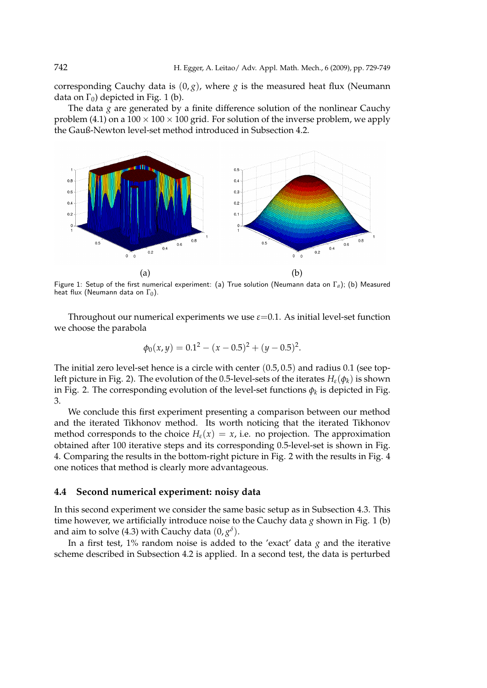corresponding Cauchy data is  $(0, g)$ , where *g* is the measured heat flux (Neumann data on  $\Gamma_0$ ) depicted in Fig. 1 (b).

The data  $g$  are generated by a finite difference solution of the nonlinear Cauchy problem (4.1) on a  $100 \times 100 \times 100$  grid. For solution of the inverse problem, we apply the Gauß-Newton level-set method introduced in Subsection 4.2.



Figure 1: Setup of the first numerical experiment: (a) True solution (Neumann data on Γ*a*); (b) Measured heat flux (Neumann data on  $\Gamma_0$ ).

Throughout our numerical experiments we use  $\varepsilon$ =0.1. As initial level-set function we choose the parabola

$$
\phi_0(x, y) = 0.1^2 - (x - 0.5)^2 + (y - 0.5)^2.
$$

The initial zero level-set hence is a circle with center (0.5, 0.5) and radius 0.1 (see topleft picture in Fig. 2). The evolution of the 0.5-level-sets of the iterates *Hε*(*φk*) is shown in Fig. 2. The corresponding evolution of the level-set functions  $\phi_k$  is depicted in Fig. 3.

We conclude this first experiment presenting a comparison between our method and the iterated Tikhonov method. Its worth noticing that the iterated Tikhonov method corresponds to the choice  $H_{\varepsilon}(x) = x$ , i.e. no projection. The approximation obtained after 100 iterative steps and its corresponding 0.5-level-set is shown in Fig. 4. Comparing the results in the bottom-right picture in Fig. 2 with the results in Fig. 4 one notices that method is clearly more advantageous.

### **4.4 Second numerical experiment: noisy data**

In this second experiment we consider the same basic setup as in Subsection 4.3. This time however, we artificially introduce noise to the Cauchy data *g* shown in Fig. 1 (b) and aim to solve (4.3) with Cauchy data  $(0, g^{\delta})$ .

In a first test,  $1\%$  random noise is added to the 'exact' data  $g$  and the iterative scheme described in Subsection 4.2 is applied. In a second test, the data is perturbed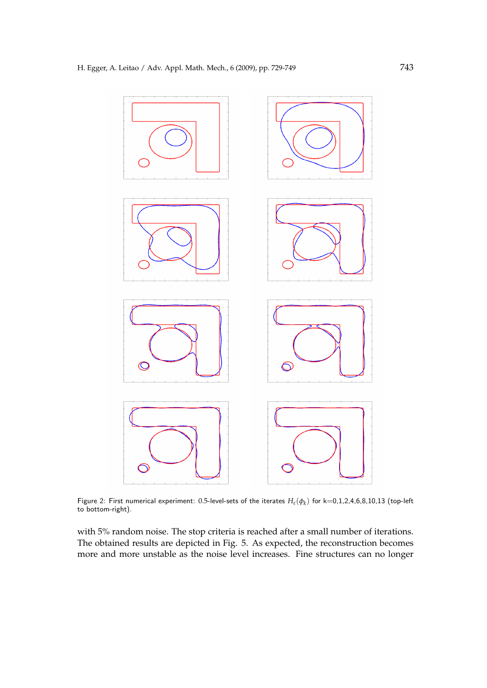

Figure 2: First numerical experiment: 0.5-level-sets of the iterates *Hε*(*φ<sup>k</sup>* ) for k=0,1,2,4,6,8,10,13 (top-left to bottom-right).

with 5% random noise. The stop criteria is reached after a small number of iterations. The obtained results are depicted in Fig. 5. As expected, the reconstruction becomes more and more unstable as the noise level increases. Fine structures can no longer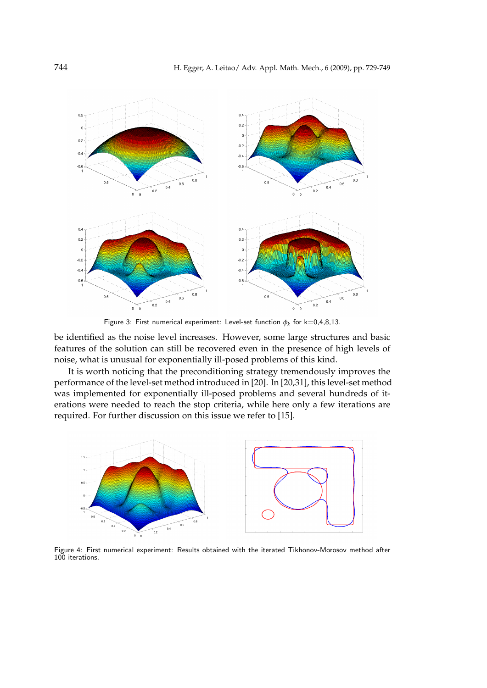

Figure 3: First numerical experiment: Level-set function  $\phi_k$  for k=0,4,8,13.

be identified as the noise level increases. However, some large structures and basic features of the solution can still be recovered even in the presence of high levels of noise, what is unusual for exponentially ill-posed problems of this kind.

It is worth noticing that the preconditioning strategy tremendously improves the performance of the level-set method introduced in [20]. In [20,31], this level-set method was implemented for exponentially ill-posed problems and several hundreds of iterations were needed to reach the stop criteria, while here only a few iterations are required. For further discussion on this issue we refer to [15].



Figure 4: First numerical experiment: Results obtained with the iterated Tikhonov-Morosov method after 100 iterations.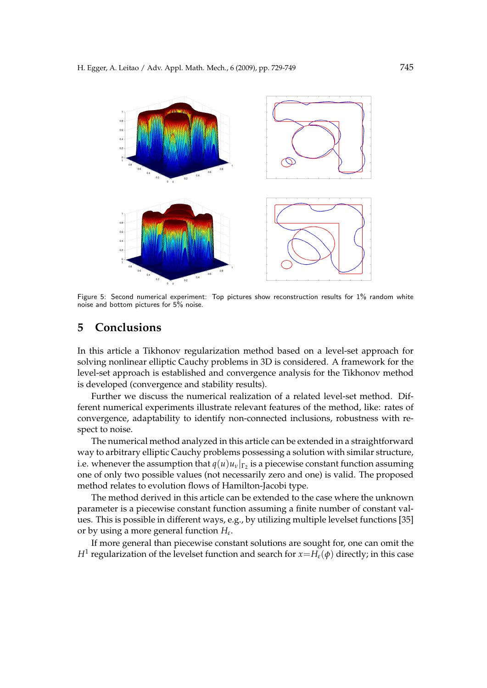

Figure 5: Second numerical experiment: Top pictures show reconstruction results for 1% random white noise and bottom pictures for 5% noise.

## **5 Conclusions**

In this article a Tikhonov regularization method based on a level-set approach for solving nonlinear elliptic Cauchy problems in 3D is considered. A framework for the level-set approach is established and convergence analysis for the Tikhonov method is developed (convergence and stability results).

Further we discuss the numerical realization of a related level-set method. Different numerical experiments illustrate relevant features of the method, like: rates of convergence, adaptability to identify non-connected inclusions, robustness with respect to noise.

The numerical method analyzed in this article can be extended in a straightforward way to arbitrary elliptic Cauchy problems possessing a solution with similar structure, i.e. whenever the assumption that  $q(u)u_v|_{\Gamma_2}$  is a piecewise constant function assuming one of only two possible values (not necessarily zero and one) is valid. The proposed method relates to evolution flows of Hamilton-Jacobi type.

The method derived in this article can be extended to the case where the unknown parameter is a piecewise constant function assuming a finite number of constant values. This is possible in different ways, e.g., by utilizing multiple levelset functions [35] or by using a more general function *H<sup>ε</sup>* .

If more general than piecewise constant solutions are sought for, one can omit the *H*<sup>1</sup> regularization of the levelset function and search for  $x=H_\varepsilon(\phi)$  directly; in this case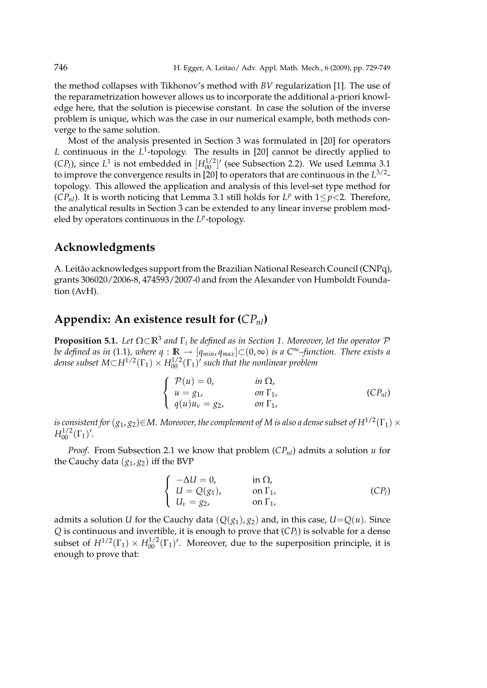the method collapses with Tikhonov's method with *BV* regularization [1]. The use of the reparametrization however allows us to incorporate the additional a-priori knowledge here, that the solution is piecewise constant. In case the solution of the inverse problem is unique, which was the case in our numerical example, both methods converge to the same solution.

Most of the analysis presented in Section 3 was formulated in [20] for operators L continuous in the  $L^1$ -topology. The results in [20] cannot be directly applied to (*CP*<sub>*l*</sub>), since  $L^1$  is not embedded in  $[H_{00}^{1/2}]'$  (see Subsection 2.2). We used Lemma 3.1 to improve the convergence results in [20] to operators that are continuous in the *L* 3/2 topology. This allowed the application and analysis of this level-set type method for (*CP<sub>nl</sub>*). It is worth noticing that Lemma 3.1 still holds for  $L^p$  with  $1 \leq p < 2$ . Therefore, the analytical results in Section 3 can be extended to any linear inverse problem modeled by operators continuous in the L<sup>p</sup>-topology.

## **Acknowledgments**

A. Leitão acknowledges support from the Brazilian National Research Council (CNPq), grants 306020/2006-8, 474593/2007-0 and from the Alexander von Humboldt Foundation (AvH).

# **Appendix: An existence result for (***CPnl***)**

**Proposition 5.1.** *Let* Ω⊂**R**<sup>3</sup> *and* Γ*<sup>i</sup> be defined as in Section 1. Moreover, let the operator* P *be defined as in (1.1), where*  $q$  :  $\mathbb{R}$  →  $[q_{min}, q_{max}]$ ⊂(0,∞) *is a C*<sup>∞</sup>–function. *There exists a* dense subset  $M{\subset}H^{1/2}(\Gamma_1)\times H^{1/2}_{00}(\Gamma_1)'$  such that the nonlinear problem

$$
\begin{cases}\n\mathcal{P}(u) = 0, & \text{in } \Omega, \\
u = g_1, & \text{on } \Gamma_1, \\
q(u)u_v = g_2, & \text{on } \Gamma_1,\n\end{cases} (CP_{nl})
$$

 $i$ s consistent for  $(g_1,g_2){\in}M.$  Moreover, the complement of M is also a dense subset of  $H^{1/2}(\Gamma_1)\times$  $H_{00}^{1/2}(\Gamma_1)'$ .

*Proof.* From Subsection 2.1 we know that problem  $(CP_{nl})$  admits a solution *u* for the Cauchy data  $(g_1, g_2)$  iff the BVP

$$
\begin{cases}\n-\Delta U = 0, & \text{in } \Omega, \\
U = Q(g_1), & \text{on } \Gamma_1, \\
U_v = g_2, & \text{on } \Gamma_1,\n\end{cases}
$$
\n(CP<sub>l</sub>)

admits a solution *U* for the Cauchy data  $(Q(g_1), g_2)$  and, in this case,  $U = Q(u)$ . Since *Q* is continuous and invertible, it is enough to prove that (*CP<sup>l</sup>* ) is solvable for a dense subset of  $H^{1/2}(\Gamma_1) \times H^{1/2}_{00}(\Gamma_1)'$ . Moreover, due to the superposition principle, it is enough to prove that: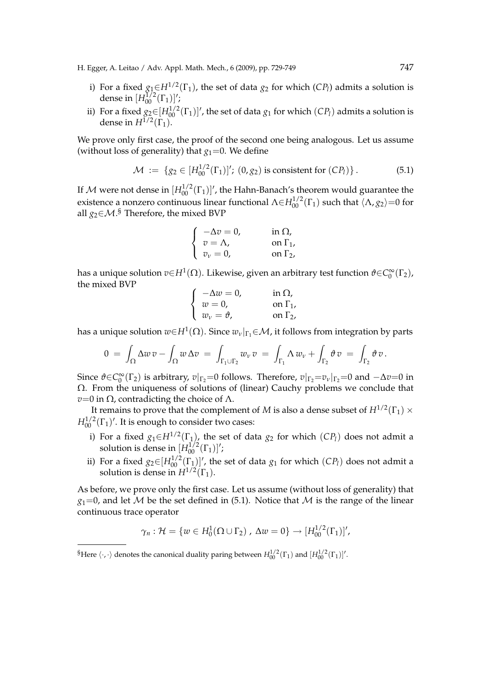H. Egger, A. Leitao / Adv. Appl. Math. Mech., 6 (2009), pp. 729-749 747

- i) For a fixed  $g_1 \in H^{1/2}(\Gamma_1)$ , the set of data  $g_2$  for which (*CPl*) admits a solution is dense in  $[H_{00}^{\bar{1}/2}(\Gamma_1)]'$ ;
- ii) For a fixed  $g_2 \in [H_{00}^{1/2}(\Gamma_1)]'$ , the set of data  $g_1$  for which  $(CP_l)$  admits a solution is dense in  $H^{1/2}(\Gamma_1)$ .

We prove only first case, the proof of the second one being analogous. Let us assume (without loss of generality) that  $g_1=0$ . We define

$$
\mathcal{M} := \{ g_2 \in [H_{00}^{1/2}(\Gamma_1)]'; (0, g_2) \text{ is consistent for } (CP_l) \}. \tag{5.1}
$$

If  ${\cal M}$  were not dense in  $[H_{00}^{1/2}(\Gamma_1)]'$ , the Hahn-Banach's theorem would guarantee the existence a nonzero continuous linear functional  $\Lambda \in H_{00}^{1/2}(\Gamma_1)$  such that  $\langle \Lambda, g_2 \rangle = 0$  for all *g*2∈M. § Therefore, the mixed BVP

$$
\begin{cases}\n-\Delta v = 0, & \text{in } \Omega, \\
v = \Lambda, & \text{on } \Gamma_1, \\
v_v = 0, & \text{on } \Gamma_2.\n\end{cases}
$$

has a unique solution *v*∈*H*<sup>1</sup> (Ω). Likewise, given an arbitrary test function *ϑ*∈*C* ∞ 0 (Γ2), the mixed BVP  $\overline{a}$ 

$$
\begin{cases}\n-\Delta w = 0, & \text{in } \Omega, \\
w = 0, & \text{on } \Gamma_1, \\
w_v = \vartheta, & \text{on } \Gamma_2,\n\end{cases}
$$

has a unique solution  $w{\in}H^1(\Omega).$  Since  $w_\nu|_{\Gamma_1}{\in}\mathcal{M}$ , it follows from integration by parts

$$
0 = \int_{\Omega} \Delta w \, v - \int_{\Omega} w \, \Delta v = \int_{\Gamma_1 \cup \Gamma_2} w_{\nu} \, v = \int_{\Gamma_1} \Delta w_{\nu} + \int_{\Gamma_2} \vartheta \, v = \int_{\Gamma_2} \vartheta \, v.
$$

Since  $\vartheta \in C_0^{\infty}(\Gamma_2)$  is arbitrary,  $v|_{\Gamma_2}=0$  follows. Therefore,  $v|_{\Gamma_2}=v_\nu|_{\Gamma_2}=0$  and  $-\Delta v=0$  in Ω. From the uniqueness of solutions of (linear) Cauchy problems we conclude that  $v=0$  in  $\Omega$ , contradicting the choice of  $\Lambda$ .

It remains to prove that the complement of  $M$  is also a dense subset of  $H^{1/2}(\Gamma_1)\times$  $H_{00}^{1/2}(\Gamma_1)'$ . It is enough to consider two cases:

- i) For a fixed  $g_1 \in H^{1/2}(\Gamma_1)$ , the set of data  $g_2$  for which  $(CP_l)$  does not admit a solution is dense in  $[H_{00}^{1/2}(\Gamma_1)]'$ ;
- ii) For a fixed  $g_2 \in [H_0^{1/2}(\Gamma_1)]'$ , the set of data  $g_1$  for which  $(CP_l)$  does not admit a solution is dense in  $H^{1/2}(\Gamma_1)$ .

As before, we prove only the first case. Let us assume (without loss of generality) that  $g_1=0$ , and let M be the set defined in (5.1). Notice that M is the range of the linear continuous trace operator

$$
\gamma_n: \mathcal{H} = \{ w \in H_0^1(\Omega \cup \Gamma_2), \Delta w = 0 \} \to [H_{00}^{1/2}(\Gamma_1)]',
$$

<sup>§</sup>Here  $\langle \cdot, \cdot \rangle$  denotes the canonical duality paring between  $H_{00}^{1/2}(\Gamma_1)$  and  $[H_{00}^{1/2}(\Gamma_1)]'$ .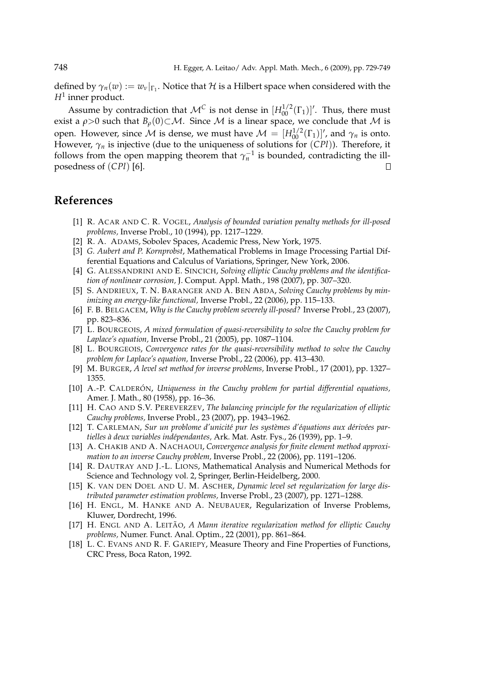defined by  $\gamma_n(w) := w_v|_{\Gamma_1}$ . Notice that  $\mathcal H$  is a Hilbert space when considered with the *H*<sup>1</sup> inner product.

Assume by contradiction that  $\mathcal{M}^C$  is not dense in  $[H_{00}^{1/2}(\Gamma_1)]'$ . Thus, there must exist a  $\rho > 0$  such that  $B_\rho(0) \subset M$ . Since M is a linear space, we conclude that M is open. However, since  $\mathcal M$  is dense, we must have  $\mathcal M = [H_{00}^{1/2}(\Gamma_1)]'$ , and  $\gamma_n$  is onto. However, *γ<sup>n</sup>* is injective (due to the uniqueness of solutions for (*CPl*)). Therefore, it follows from the open mapping theorem that  $\gamma_n^{-1}$  is bounded, contradicting the illposedness of (*CPl*) [6].  $\Box$ 

## **References**

- [1] R. ACAR AND C. R. VOGEL, *Analysis of bounded variation penalty methods for ill-posed problems,* Inverse Probl., 10 (1994), pp. 1217–1229.
- [2] R. A. ADAMS, Sobolev Spaces, Academic Press, New York, 1975.
- [3] *G. Aubert and P. Kornprobst*, Mathematical Problems in Image Processing Partial Differential Equations and Calculus of Variations, Springer, New York, 2006.
- [4] G. ALESSANDRINI AND E. SINCICH, *Solving elliptic Cauchy problems and the identification of nonlinear corrosion,* J. Comput. Appl. Math., 198 (2007), pp. 307–320.
- [5] S. ANDRIEUX, T. N. BARANGER AND A. BEN ABDA, *Solving Cauchy problems by minimizing an energy-like functional,* Inverse Probl., 22 (2006), pp. 115–133.
- [6] F. B. BELGACEM, *Why is the Cauchy problem severely ill-posed?* Inverse Probl., 23 (2007), pp. 823–836.
- [7] L. BOURGEOIS, *A mixed formulation of quasi-reversibility to solve the Cauchy problem for Laplace's equation,* Inverse Probl., 21 (2005), pp. 1087–1104.
- [8] L. BOURGEOIS, *Convergence rates for the quasi-reversibility method to solve the Cauchy problem for Laplace's equation,* Inverse Probl., 22 (2006), pp. 413–430.
- [9] M. BURGER, *A level set method for inverse problems,* Inverse Probl., 17 (2001), pp. 1327– 1355.
- [10] A.-P. CALDERÓN, Uniqueness in the Cauchy problem for partial differential equations, Amer. J. Math., 80 (1958), pp. 16–36.
- [11] H. CAO AND S.V. PEREVERZEV, *The balancing principle for the regularization of elliptic Cauchy problems,* Inverse Probl., 23 (2007), pp. 1943–1962.
- [12] T. CARLEMAN, *Sur un problome d'unicité pur les systèmes d'équations aux dérivées partielles `a deux variables ind´ependantes,* Ark. Mat. Astr. Fys., 26 (1939), pp. 1–9.
- [13] A. CHAKIB AND A. NACHAOUI, *Convergence analysis for finite element method approximation to an inverse Cauchy problem,* Inverse Probl., 22 (2006), pp. 1191–1206.
- [14] R. DAUTRAY AND J.-L. LIONS, Mathematical Analysis and Numerical Methods for Science and Technology vol. 2, Springer, Berlin-Heidelberg, 2000.
- [15] K. VAN DEN DOEL AND U. M. ASCHER, *Dynamic level set regularization for large distributed parameter estimation problems,* Inverse Probl., 23 (2007), pp. 1271–1288.
- [16] H. ENGL, M. HANKE AND A. NEUBAUER, Regularization of Inverse Problems, Kluwer, Dordrecht, 1996.
- [17] H. ENGL AND A. LEITÃO, *A Mann iterative regularization method for elliptic Cauchy problems,* Numer. Funct. Anal. Optim., 22 (2001), pp. 861–864.
- [18] L. C. EVANS AND R. F. GARIEPY, Measure Theory and Fine Properties of Functions, CRC Press, Boca Raton, 1992.